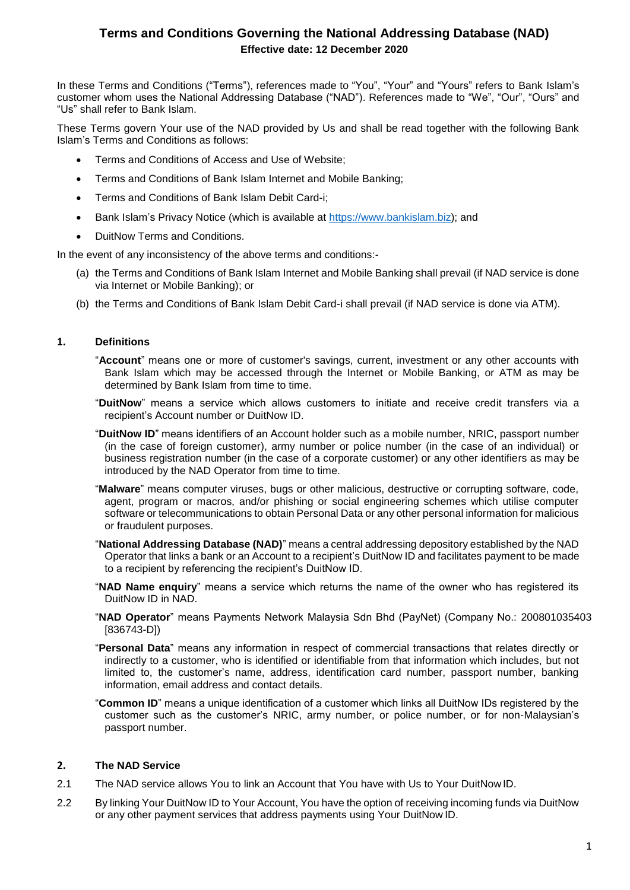# **Terms and Conditions Governing the National Addressing Database (NAD) Effective date: 12 December 2020**

In these Terms and Conditions ("Terms"), references made to "You", "Your" and "Yours" refers to Bank Islam's customer whom uses the National Addressing Database ("NAD"). References made to "We", "Our", "Ours" and "Us" shall refer to Bank Islam.

These Terms govern Your use of the NAD provided by Us and shall be read together with the following Bank Islam's Terms and Conditions as follows:

- Terms and Conditions of Access and Use of Website;
- Terms and Conditions of Bank Islam Internet and Mobile Banking;
- Terms and Conditions of Bank Islam Debit Card-i;
- Bank Islam's Privacy Notice (which is available at [https://www.bankislam.biz\)](https://www.bankislam.biz/); and
- DuitNow Terms and Conditions.

In the event of any inconsistency of the above terms and conditions:-

- (a) the Terms and Conditions of Bank Islam Internet and Mobile Banking shall prevail (if NAD service is done via Internet or Mobile Banking); or
- (b) the Terms and Conditions of Bank Islam Debit Card-i shall prevail (if NAD service is done via ATM).

# **1. Definitions**

"**Account**" means one or more of customer's savings, current, investment or any other accounts with Bank Islam which may be accessed through the Internet or Mobile Banking, or ATM as may be determined by Bank Islam from time to time.

"**DuitNow**" means a service which allows customers to initiate and receive credit transfers via a recipient's Account number or DuitNow ID.

- "**DuitNow ID**" means identifiers of an Account holder such as a mobile number, NRIC, passport number (in the case of foreign customer), army number or police number (in the case of an individual) or business registration number (in the case of a corporate customer) or any other identifiers as may be introduced by the NAD Operator from time to time.
- "**Malware**" means computer viruses, bugs or other malicious, destructive or corrupting software, code, agent, program or macros, and/or phishing or social engineering schemes which utilise computer software or telecommunications to obtain Personal Data or any other personal information for malicious or fraudulent purposes.
- "**National Addressing Database (NAD)**" means a central addressing depository established by the NAD Operator that links a bank or an Account to a recipient's DuitNow ID and facilitates payment to be made to a recipient by referencing the recipient's DuitNow ID.
- "**NAD Name enquiry**" means a service which returns the name of the owner who has registered its DuitNow ID in NAD.
- "**NAD Operator**" means Payments Network Malaysia Sdn Bhd (PayNet) (Company No.: 200801035403 [836743-D])
- "**Personal Data**" means any information in respect of commercial transactions that relates directly or indirectly to a customer, who is identified or identifiable from that information which includes, but not limited to, the customer's name, address, identification card number, passport number, banking information, email address and contact details.
- "**Common ID**" means a unique identification of a customer which links all DuitNow IDs registered by the customer such as the customer's NRIC, army number, or police number, or for non-Malaysian's passport number.

# **2. The NAD Service**

- 2.1 The NAD service allows You to link an Account that You have with Us to Your DuitNow ID.
- 2.2 By linking Your DuitNow ID to Your Account, You have the option of receiving incoming funds via DuitNow or any other payment services that address payments using Your DuitNow ID.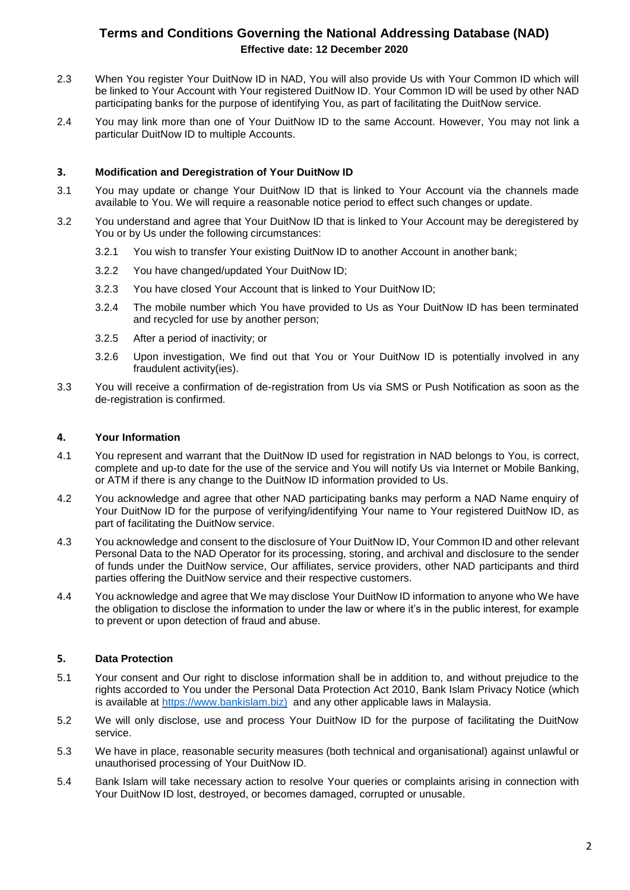# **Terms and Conditions Governing the National Addressing Database (NAD) Effective date: 12 December 2020**

- 2.3 When You register Your DuitNow ID in NAD, You will also provide Us with Your Common ID which will be linked to Your Account with Your registered DuitNow ID. Your Common ID will be used by other NAD participating banks for the purpose of identifying You, as part of facilitating the DuitNow service.
- 2.4 You may link more than one of Your DuitNow ID to the same Account. However, You may not link a particular DuitNow ID to multiple Accounts.

# **3. Modification and Deregistration of Your DuitNow ID**

- 3.1 You may update or change Your DuitNow ID that is linked to Your Account via the channels made available to You. We will require a reasonable notice period to effect such changes or update.
- 3.2 You understand and agree that Your DuitNow ID that is linked to Your Account may be deregistered by You or by Us under the following circumstances:
	- 3.2.1 You wish to transfer Your existing DuitNow ID to another Account in another bank;
	- 3.2.2 You have changed/updated Your DuitNow ID;
	- 3.2.3 You have closed Your Account that is linked to Your DuitNow ID;
	- 3.2.4 The mobile number which You have provided to Us as Your DuitNow ID has been terminated and recycled for use by another person;
	- 3.2.5 After a period of inactivity; or
	- 3.2.6 Upon investigation, We find out that You or Your DuitNow ID is potentially involved in any fraudulent activity(ies).
- 3.3 You will receive a confirmation of de-registration from Us via SMS or Push Notification as soon as the de-registration is confirmed.

#### **4. Your Information**

- 4.1 You represent and warrant that the DuitNow ID used for registration in NAD belongs to You, is correct, complete and up-to date for the use of the service and You will notify Us via Internet or Mobile Banking, or ATM if there is any change to the DuitNow ID information provided to Us.
- 4.2 You acknowledge and agree that other NAD participating banks may perform a NAD Name enquiry of Your DuitNow ID for the purpose of verifying/identifying Your name to Your registered DuitNow ID, as part of facilitating the DuitNow service.
- 4.3 You acknowledge and consent to the disclosure of Your DuitNow ID, Your Common ID and other relevant Personal Data to the NAD Operator for its processing, storing, and archival and disclosure to the sender of funds under the DuitNow service, Our affiliates, service providers, other NAD participants and third parties offering the DuitNow service and their respective customers.
- 4.4 You acknowledge and agree that We may disclose Your DuitNow ID information to anyone who We have the obligation to disclose the information to under the law or where it's in the public interest, for example to prevent or upon detection of fraud and abuse.

# **5. Data Protection**

- 5.1 Your consent and Our right to disclose information shall be in addition to, and without prejudice to the rights accorded to You under the Personal Data Protection Act 2010, Bank Islam Privacy Notice (which is available at [https://www.bankislam.biz\)](https://www.bankislam.biz)/) and any other applicable laws in Malaysia.
- 5.2 We will only disclose, use and process Your DuitNow ID for the purpose of facilitating the DuitNow service.
- 5.3 We have in place, reasonable security measures (both technical and organisational) against unlawful or unauthorised processing of Your DuitNow ID.
- 5.4 Bank Islam will take necessary action to resolve Your queries or complaints arising in connection with Your DuitNow ID lost, destroyed, or becomes damaged, corrupted or unusable.